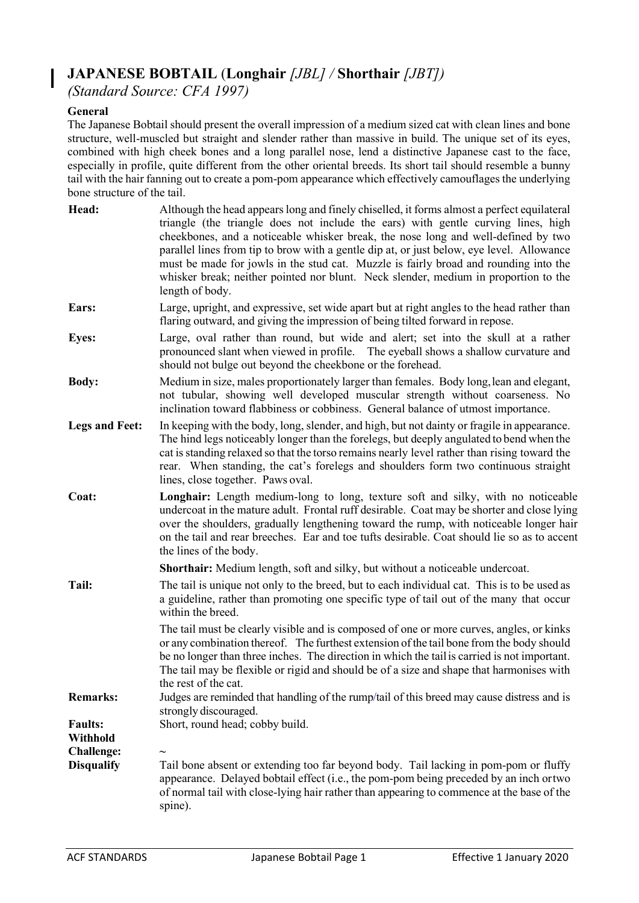# **JAPANESE BOBTAIL** (**Longhair** *[JBL] /* **Shorthair** *[JBT])*

*(Standard Source: CFA 1997)*

### **General**

The Japanese Bobtail should present the overall impression of a medium sized cat with clean lines and bone structure, well-muscled but straight and slender rather than massive in build. The unique set of its eyes, combined with high cheek bones and a long parallel nose, lend a distinctive Japanese cast to the face, especially in profile, quite different from the other oriental breeds. Its short tail should resemble a bunny tail with the hair fanning out to create a pom-pom appearance which effectively camouflages the underlying bone structure of the tail.

| Head:                                  | Although the head appears long and finely chiselled, it forms almost a perfect equilateral<br>triangle (the triangle does not include the ears) with gentle curving lines, high<br>cheekbones, and a noticeable whisker break, the nose long and well-defined by two<br>parallel lines from tip to brow with a gentle dip at, or just below, eye level. Allowance<br>must be made for jowls in the stud cat. Muzzle is fairly broad and rounding into the<br>whisker break; neither pointed nor blunt. Neck slender, medium in proportion to the<br>length of body. |  |  |
|----------------------------------------|---------------------------------------------------------------------------------------------------------------------------------------------------------------------------------------------------------------------------------------------------------------------------------------------------------------------------------------------------------------------------------------------------------------------------------------------------------------------------------------------------------------------------------------------------------------------|--|--|
| Ears:                                  | Large, upright, and expressive, set wide apart but at right angles to the head rather than<br>flaring outward, and giving the impression of being tilted forward in repose.                                                                                                                                                                                                                                                                                                                                                                                         |  |  |
| <b>Eyes:</b>                           | Large, oval rather than round, but wide and alert; set into the skull at a rather<br>pronounced slant when viewed in profile. The eyeball shows a shallow curvature and<br>should not bulge out beyond the cheekbone or the forehead.                                                                                                                                                                                                                                                                                                                               |  |  |
| <b>Body:</b>                           | Medium in size, males proportionately larger than females. Body long, lean and elegant,<br>not tubular, showing well developed muscular strength without coarseness. No<br>inclination toward flabbiness or cobbiness. General balance of utmost importance.                                                                                                                                                                                                                                                                                                        |  |  |
| <b>Legs and Feet:</b>                  | In keeping with the body, long, slender, and high, but not dainty or fragile in appearance.<br>The hind legs noticeably longer than the forelegs, but deeply angulated to bend when the<br>cat is standing relaxed so that the torso remains nearly level rather than rising toward the<br>rear. When standing, the cat's forelegs and shoulders form two continuous straight<br>lines, close together. Paws oval.                                                                                                                                                  |  |  |
| Coat:                                  | Longhair: Length medium-long to long, texture soft and silky, with no noticeable<br>undercoat in the mature adult. Frontal ruff desirable. Coat may be shorter and close lying<br>over the shoulders, gradually lengthening toward the rump, with noticeable longer hair<br>on the tail and rear breeches. Ear and toe tufts desirable. Coat should lie so as to accent<br>the lines of the body.                                                                                                                                                                   |  |  |
|                                        | <b>Shorthair:</b> Medium length, soft and silky, but without a noticeable undercoat.                                                                                                                                                                                                                                                                                                                                                                                                                                                                                |  |  |
| Tail:                                  | The tail is unique not only to the breed, but to each individual cat. This is to be used as<br>a guideline, rather than promoting one specific type of tail out of the many that occur<br>within the breed.                                                                                                                                                                                                                                                                                                                                                         |  |  |
|                                        | The tail must be clearly visible and is composed of one or more curves, angles, or kinks<br>or any combination thereof. The furthest extension of the tail bone from the body should<br>be no longer than three inches. The direction in which the tail is carried is not important.<br>The tail may be flexible or rigid and should be of a size and shape that harmonises with<br>the rest of the cat.                                                                                                                                                            |  |  |
| <b>Remarks:</b>                        | Judges are reminded that handling of the rump/tail of this breed may cause distress and is<br>strongly discouraged.                                                                                                                                                                                                                                                                                                                                                                                                                                                 |  |  |
| <b>Faults:</b><br>Withhold             | Short, round head; cobby build.                                                                                                                                                                                                                                                                                                                                                                                                                                                                                                                                     |  |  |
| <b>Challenge:</b><br><b>Disqualify</b> | Tail bone absent or extending too far beyond body. Tail lacking in pom-pom or fluffy<br>appearance. Delayed bobtail effect (i.e., the pom-pom being preceded by an inch or two<br>of normal tail with close-lying hair rather than appearing to commence at the base of the<br>spine).                                                                                                                                                                                                                                                                              |  |  |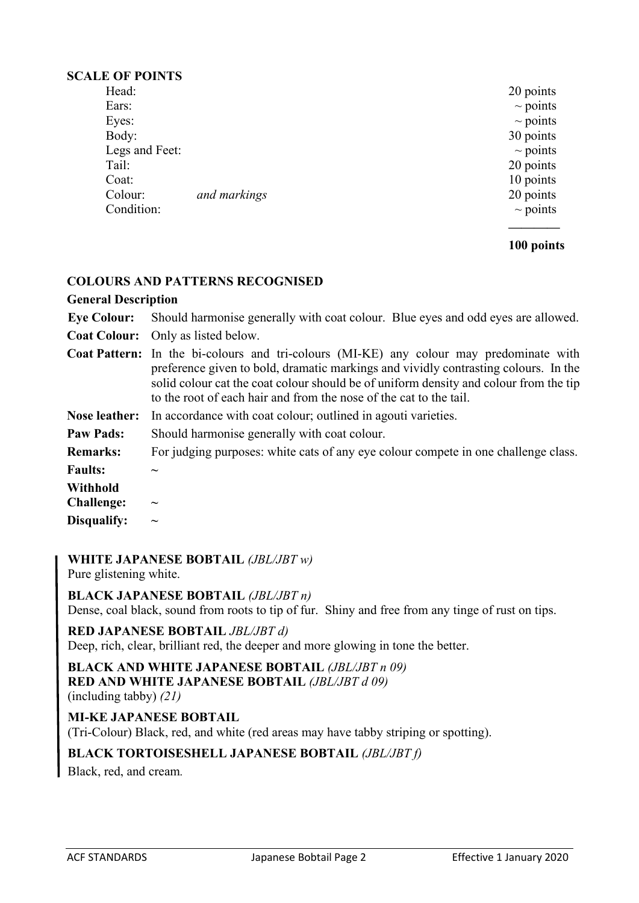#### **SCALE OF POINTS**

| Head:          |              | 20 points     |
|----------------|--------------|---------------|
| Ears:          |              | $\sim$ points |
| Eyes:          |              | $\sim$ points |
| Body:          |              | 30 points     |
| Legs and Feet: |              | $\sim$ points |
| Tail:          |              | 20 points     |
| Coat:          |              | 10 points     |
| Colour:        | and markings | 20 points     |
| Condition:     |              | $\sim$ points |

# **———— 100 points**

### **COLOURS AND PATTERNS RECOGNISED**

#### **General Description**

**Eye Colour:** Should harmonise generally with coat colour. Blue eyes and odd eyes are allowed.

**Coat Colour:** Only as listed below.

- **Coat Pattern:** In the bi-colours and tri-colours (MI-KE) any colour may predominate with preference given to bold, dramatic markings and vividly contrasting colours. In the solid colour cat the coat colour should be of uniform density and colour from the tip to the root of each hair and from the nose of the cat to the tail.
- **Nose leather:** In accordance with coat colour; outlined in agouti varieties.
- **Paw Pads:** Should harmonise generally with coat colour.
- **Remarks:** For judging purposes: white cats of any eye colour compete in one challenge class. **Faults: ~**

**Withhold Challenge: ~**

# **Disqualify: ~**

**WHITE JAPANESE BOBTAIL** *(JBL/JBT w)*

Pure glistening white.

**BLACK JAPANESE BOBTAIL** *(JBL/JBT n)* Dense, coal black, sound from roots to tip of fur. Shiny and free from any tinge of rust on tips.

### **RED JAPANESE BOBTAIL** *JBL/JBT d)*

Deep, rich, clear, brilliant red, the deeper and more glowing in tone the better.

### **BLACK AND WHITE JAPANESE BOBTAIL** *(JBL/JBT n 09)* **RED AND WHITE JAPANESE BOBTAIL** *(JBL/JBT d 09)* (including tabby) *(21)*

# **MI-KE JAPANESE BOBTAIL**

(Tri-Colour) Black, red, and white (red areas may have tabby striping or spotting).

## **BLACK TORTOISESHELL JAPANESE BOBTAIL** *(JBL/JBT f)*

Black, red, and cream*.*